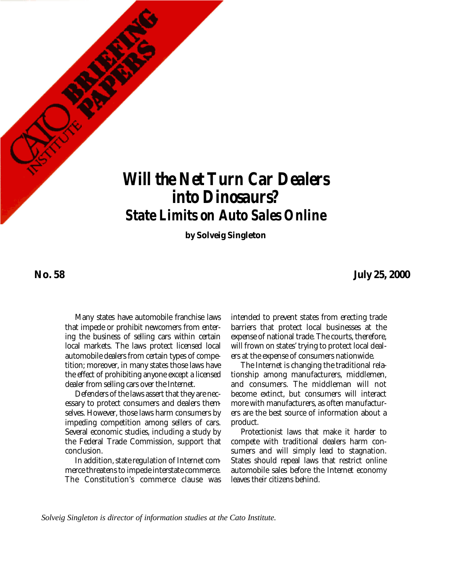

*Will the Net Turn Car Dealers into Dinosaurs? State Limits on Auto Sales Online*

**by Solveig Singleton**

**No. 58**

**July 25, 2000**

Many states have automobile franchise laws that impede or prohibit newcomers from entering the business of selling cars within certain local markets. The laws protect licensed local automobile dealers from certain types of competition; moreover, in many states those laws have the effect of prohibiting anyone except a licensed dealer from selling cars over the Internet.

Defenders of the laws assert that they are necessary to protect consumers and dealers themselves. However, those laws harm consumers by impeding competition among sellers of cars. Several economic studies, including a study by the Federal Trade Commission, support that conclusion.

In addition, state regulation of Internet commerce threatens to impede interstate commerce. The Constitution's commerce clause was

intended to prevent states from erecting trade barriers that protect local businesses at the expense of national trade. The courts, therefore, will frown on states' trying to protect local dealers at the expense of consumers nationwide.

The Internet is changing the traditional relationship among manufacturers, middlemen, and consumers. The middleman will not become extinct, but consumers will interact more with manufacturers, as often manufacturers are the best source of information about a product.

Protectionist laws that make it harder to compete with traditional dealers harm consumers and will simply lead to stagnation. States should repeal laws that restrict online automobile sales before the Internet economy leaves their citizens behind.

*Solveig Singleton is director of information studies at the Cato Institute.*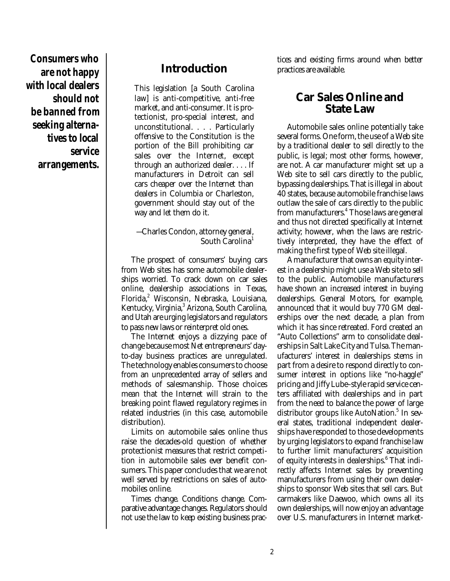**Consumers who are not happy with local dealers should not be banned from seeking alternatives to local service arrangements.**

# **Introduction**

This legislation [a South Carolina law] is anti-competitive, anti-free market, and anti-consumer. It is protectionist, pro-special interest, and unconstitutional. . . . Particularly offensive to the Constitution is the portion of the Bill prohibiting car sales over the Internet, except through an authorized dealer. . . . If manufacturers in Detroit can sell cars cheaper over the Internet than dealers in Columbia or Charleston, government should stay out of the way and let them do it.

### —Charles Condon, attorney general, South Carolina 1

The prospect of consumers' buying cars from Web sites has some automobile dealerships worried. To crack down on car sales online, dealership associations in Texas, Florida, <sup>2</sup> Wisconsin, Nebraska, Louisiana, Kentucky, Virginia, 3 Arizona, South Carolina, and Utah are urging legislators and regulators to pass new laws or reinterpret old ones.

The Internet enjoys a dizzying pace of change because most Net entrepreneurs' dayto-day business practices are unregulated. The technology enables consumers to choose from an unprecedented array of sellers and methods of salesmanship. Those choices mean that the Internet will strain to the breaking point flawed regulatory regimes in related industries (in this case, automobile distribution).

Limits on automobile sales online thus raise the decades-old question of whether protectionist measures that restrict competition in automobile sales ever benefit consumers. This paper concludes that we are not well served by restrictions on sales of automobiles online.

Times change. Conditions change. Comparative advantage changes. Regulators should not use the law to keep existing business practices and existing firms around when better practices are available.

## **Car Sales Online and State Law**

Automobile sales online potentially take several forms. One form, the use of a Web site by a traditional dealer to sell directly to the public, is legal; most other forms, however, are not. A car manufacturer might set up a Web site to sell cars directly to the public, bypassing dealerships. That is illegal in about 40 states, because automobile franchise laws outlaw the sale of cars directly to the public from manufacturers. 4 Those laws are general and thus not directed specifically at Internet activity; however, when the laws are restrictively interpreted, they have the effect of making the first type of Web site illegal.

A manufacturer that owns an equity interest in a dealership might use a Web site to sell to the public. Automobile manufacturers have shown an increased interest in buying dealerships. General Motors, for example, announced that it would buy 770 GM dealerships over the next decade, a plan from which it has since retreated. Ford created an "Auto Collections" arm to consolidate dealerships in Salt Lake City and Tulsa. The manufacturers' interest in dealerships stems in part from a desire to respond directly to consumer interest in options like "no-haggle" pricing and Jiffy Lube–style rapid service centers affiliated with dealerships and in part from the need to balance the power of large distributor groups like AutoNation. 5 In several states, traditional independent dealerships have responded to those developments by urging legislators to expand franchise law to further limit manufacturers' acquisition of equity interests in dealerships. <sup>6</sup> That indirectly affects Internet sales by preventing manufacturers from using their own dealerships to sponsor Web sites that sell cars. But carmakers like Daewoo, which owns all its own dealerships, will now enjoy an advantage over U.S. manufacturers in Internet market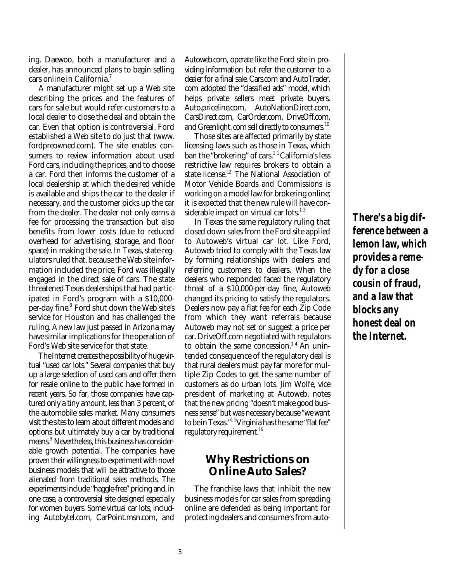ing. Daewoo, both a manufacturer and a dealer, has announced plans to begin selling cars online in California. 7

A manufacturer might set up a Web site describing the prices and the features of cars for sale but would refer customers to a local dealer to close the deal and obtain the car. Even that option is controversial. Ford established a Web site to do just that (www. fordpreowned.com). The site enables consumers to review information about used Ford cars, including the prices, and to choose a car. Ford then informs the customer of a local dealership at which the desired vehicle is available and ships the car to the dealer if necessary, and the customer picks up the car from the dealer. The dealer not only earns a fee for processing the transaction but also benefits from lower costs (due to reduced overhead for advertising, storage, and floor space) in making the sale. In Texas, state regulators ruled that, because the Web site information included the price, Ford was illegally engaged in the direct sale of cars. The state threatened Texas dealerships that had participated in Ford's program with a \$10,000 per-day fine.<sup>8</sup> Ford shut down the Web site's service for Houston and has challenged the ruling. A new law just passed in Arizona may have similar implications for the operation of Ford's Web site service for that state.

The Internet creates the possibility of huge virtual "used car lots." Several companies that buy up a large selection of used cars and offer them for resale online to the public have formed in recent years. So far, those companies have captured only a tiny amount, less than 3 percent, of the automobile sales market. Many consumers visit the sites to learn about different models and options but ultimately buy a car by traditional means. <sup>9</sup> Nevertheless, this business has considerable growth potential. The companies have proven their willingness to experiment with novel business models that will be attractive to those alienated from traditional sales methods. The experiments include "haggle-free" pricing and, in one case, a controversial site designed especially for women buyers. Some virtual car lots, including Autobytel.com, CarPoint.msn.com, and

Autoweb.com, operate like the Ford site in providing information but refer the customer to a dealer for a final sale. Cars.com and AutoTrader. com adopted the "classified ads" model, which helps private sellers meet private buyers. Auto.priceline.com, AutoNationDirect.com, CarsDirect.com, CarOrder.com, DriveOff.com, and Greenlight. com sell directly to consumers.<sup>10</sup>

Those sites are affected primarily by state licensing laws such as those in Texas, which ban the "brokering" of cars.<sup>11</sup> California's less restrictive law requires brokers to obtain a state license. <sup>12</sup> The National Association of Motor Vehicle Boards and Commissions is working on a model law for brokering online; it is expected that the new rule will have considerable impact on virtual car lots. $^{\rm 1 \, 3}$ 

In Texas the same regulatory ruling that closed down sales from the Ford site applied to Autoweb's virtual car lot. Like Ford, Autoweb tried to comply with the Texas law by forming relationships with dealers and referring customers to dealers. When the dealers who responded faced the regulatory threat of a \$10,000-per-day fine, Autoweb changed its pricing to satisfy the regulators. Dealers now pay a flat fee for each Zip Code from which they want referrals because Autoweb may not set or suggest a price per car. DriveOff.com negotiated with regulators to obtain the same concession.<sup>14</sup> An unintended consequence of the regulatory deal is that rural dealers must pay far more for multiple Zip Codes to get the same number of customers as do urban lots. Jim Wolfe, vice president of marketing at Autoweb, notes that the new pricing "doesn't make good business sense" but was necessary because "we want to be in Texas."<sup>15</sup>Virginia has the same "flat fee" regulatory requirement. 16

## **Why Restrictions on Online Auto Sales?**

The franchise laws that inhibit the new business models for car sales from spreading online are defended as being important for protecting dealers and consumers from auto**There's a big difference between a lemon law, which provides a remedy for a close cousin of fraud, and a law that blocks any honest deal on the Internet.**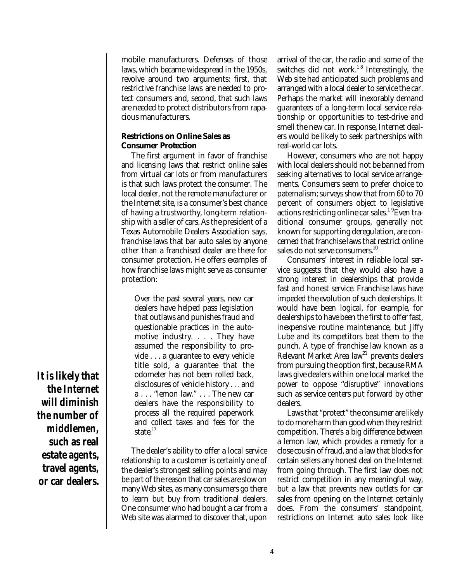mobile manufacturers. Defenses of those laws, which became widespread in the 1950s, revolve around two arguments: first, that restrictive franchise laws are needed to protect consumers and, second, that such laws are needed to protect distributors from rapacious manufacturers.

#### **Restrictions on Online Sales as Consumer Protection**

The first argument in favor of franchise and licensing laws that restrict online sales from virtual car lots or from manufacturers is that such laws protect the consumer. The local dealer, not the remote manufacturer or the Internet site, is a consumer's best chance of having a trustworthy, long-term relationship with a seller of cars. As the president of a Texas Automobile Dealers Association says, franchise laws that bar auto sales by anyone other than a franchised dealer are there for consumer protection. He offers examples of how franchise laws might serve as consumer protection:

Over the past several years, new car dealers have helped pass legislation that outlaws and punishes fraud and questionable practices in the automotive industry. . . . They have assumed the responsibility to provide . . . a guarantee to every vehicle title sold, a guarantee that the odometer has not been rolled back, disclosures of vehicle history . . . and a . . . "lemon law." . . . The new car dealers have the responsibility to process all the required paperwork and collect taxes and fees for the state. 17

The dealer's ability to offer a local service relationship to a customer is certainly one of the dealer's strongest selling points and may be part of the reason that car sales are slow on many Web sites, as many consumers go there to learn but buy from traditional dealers. One consumer who had bought a car from a Web site was alarmed to discover that, upon

arrival of the car, the radio and some of the switches did not work.<sup>18</sup> Interestingly, the Web site had anticipated such problems and arranged with a local dealer to service the car. Perhaps the market will inexorably demand guarantees of a long-term local service relationship or opportunities to test-drive and smell the new car. In response, Internet dealers would be likely to seek partnerships with real-world car lots.

However, consumers who are not happy with local dealers should not be banned from seeking alternatives to local service arrangements. Consumers seem to prefer choice to paternalism; surveys show that from 60 to 70 percent of consumers object to legislative actions restricting online car sales.<sup>1 9</sup>Even traditional consumer groups, generally not known for supporting deregulation, are concerned that franchise laws that restrict online sales do not serve consumers.<sup>20</sup>

Consumers' interest in reliable local service suggests that they would also have a strong interest in dealerships that provide fast and honest service. Franchise laws have impeded the evolution of such dealerships. It would have been logical, for example, for dealerships to have been the first to offer fast, inexpensive routine maintenance, but Jiffy Lube and its competitors beat them to the punch. A type of franchise law known as a Relevant Market Area law<sup>21</sup> prevents dealers from pursuing the option first, because RMA laws give dealers within one local market the power to oppose "disruptive" innovations such as service centers put forward by other dealers.

Laws that "protect" the consumer are likely to do more harm than good when they restrict competition. There's a big difference between a lemon law, which provides a remedy for a close cousin of fraud, and a law that blocks for certain sellers any honest deal on the Internet from going through. The first law does not restrict competition in any meaningful way, but a law that prevents new outlets for car sales from opening on the Internet certainly does. From the consumers' standpoint, restrictions on Internet auto sales look like

**It is likely that the Internet will diminish the number of middlemen, such as real estate agents, travel agents, or car dealers.**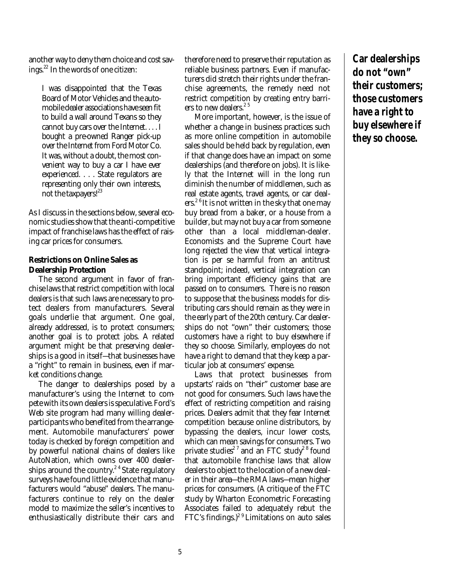another way to deny them choice and cost savings. 22 In the words of one citizen:

I was disappointed that the Texas Board of Motor Vehicles and the automobile dealer associations have seen fit to build a wall around Texans so they cannot buy cars over the Internet. . . . I bought a pre-owned Ranger pick-up over the Internet from Ford Motor Co. It was, without a doubt, the most convenient way to buy a car I have ever experienced. . . . State regulators are representing only their own interests, not the taxpayers!<sup>23</sup>

As I discuss in the sections below, several economic studies show that the anti-competitive impact of franchise laws has the effect of raising car prices for consumers.

#### **Restrictions on Online Sales as Dealership Protection**

The second argument in favor of franchise laws that restrict competition with local dealers is that such laws are necessary to protect dealers from manufacturers. Several goals underlie that argument. One goal, already addressed, is to protect consumers; another goal is to protect jobs. A related argument might be that preserving dealerships is a good in itself—that businesses have a "right" to remain in business, even if market conditions change.

The danger to dealerships posed by a manufacturer's using the Internet to compete with its own dealers is speculative. Ford's Web site program had many willing dealerparticipants who benefited from the arrangement. Automobile manufacturers' power today is checked by foreign competition and by powerful national chains of dealers like AutoNation, which owns over 400 dealerships around the country.<sup>24</sup> State regulatory surveys have found little evidence that manufacturers would "abuse" dealers. The manufacturers continue to rely on the dealer model to maximize the seller's incentives to enthusiastically distribute their cars and therefore need to preserve their reputation as reliable business partners. Even if manufacturers did stretch their rights under the franchise agreements, the remedy need not restrict competition by creating entry barriers to new dealers. 2 5

More important, however, is the issue of whether a change in business practices such as more online competition in automobile sales should be held back by regulation, even if that change does have an impact on some dealerships (and therefore on jobs). It is likely that the Internet will in the long run diminish the number of middlemen, such as real estate agents, travel agents, or car dealers. 2 6 It is not written in the sky that one may buy bread from a baker, or a house from a builder, but may not buy a car from someone other than a local middleman-dealer. Economists and the Supreme Court have long rejected the view that vertical integration is per se harmful from an antitrust standpoint; indeed, vertical integration can bring important efficiency gains that are passed on to consumers. There is no reason to suppose that the business models for distributing cars should remain as they were in the early part of the 20th century. Car dealerships do not "own" their customers; those customers have a right to buy elsewhere if they so choose. Similarly, employees do not have a right to demand that they keep a particular job at consumers' expense.

Laws that protect businesses from upstarts' raids on "their" customer base are not good for consumers. Such laws have the effect of restricting competition and raising prices. Dealers admit that they fear Internet competition because online distributors, by bypassing the dealers, incur lower costs, which can mean savings for consumers. Two private studies<sup>27</sup> and an FTC study<sup>28</sup> found that automobile franchise laws that allow dealers to object to the location of a new dealer in their area—the RMA laws—mean higher prices for consumers. (A critique of the FTC study by Wharton Econometric Forecasting Associates failed to adequately rebut the FTC's findings.) 2 9 Limitations on auto sales

**Car dealerships do not "own" their customers; those customers have a right to buy elsewhere if they so choose.**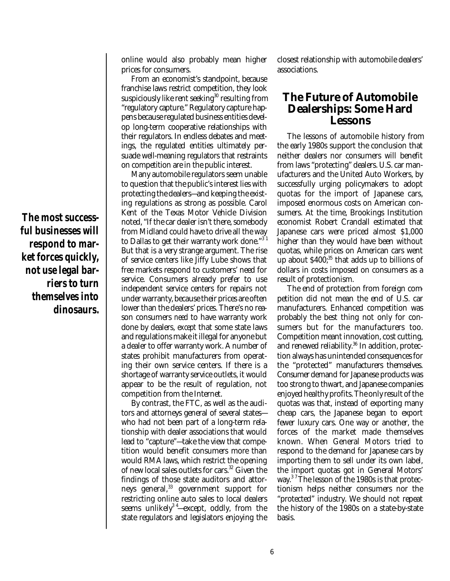**The most successful businesses will respond to market forces quickly, not use legal barriers to turn themselves into dinosaurs.** online would also probably mean higher prices for consumers.

From an economist's standpoint, because franchise laws restrict competition, they look suspiciously like rent seeking $^{\rm 30}$  resulting from "regulatory capture." Regulatory capture happens because regulated business entities develop long-term cooperative relationships with their regulators. In endless debates and meetings, the regulated entities ultimately persuade well-meaning regulators that restraints on competition are in the public interest.

Many automobile regulators seem unable to question that the public's interest lies with protecting the dealers—and keeping the existing regulations as strong as possible. Carol Kent of the Texas Motor Vehicle Division noted, "If the car dealer isn't there, somebody from Midland could have to drive all the way to Dallas to get their warranty work done."<sup>31</sup> But that is a very strange argument. The rise of service centers like Jiffy Lube shows that free markets respond to customers' need for service. Consumers already prefer to use independent service centers for repairs not under warranty, because their prices are often lower than the dealers' prices. There's no reason consumers *need* to have warranty work done by dealers, *except* that some state laws and regulations make it illegal for anyone but a dealer to offer warranty work. A number of states prohibit manufacturers from operating their own service centers. If there is a shortage of warranty service outlets, it would appear to be the result of regulation, not competition from the Internet.

By contrast, the FTC, as well as the auditors and attorneys general of several states who had not been part of a long-term relationship with dealer associations that would lead to "capture"—take the view that competition would benefit consumers more than would RMA laws, which restrict the opening of new local sales outlets for cars. <sup>32</sup> Given the findings of those state auditors and attorneys general, 33 government support for restricting online auto sales to local dealers seems unlikely<sup>34</sup>—except, oddly, from the state regulators and legislators enjoying the

closest relationship with automobile dealers' associations.

## **The Future of Automobile Dealerships: Some Hard Lessons**

The lessons of automobile history from the early 1980s support the conclusion that neither dealers nor consumers will benefit from laws "protecting" dealers. U.S. car manufacturers and the United Auto Workers, by successfully urging policymakers to adopt quotas for the import of Japanese cars, imposed enormous costs on American consumers. At the time, Brookings Institution economist Robert Crandall estimated that Japanese cars were priced almost \$1,000 higher than they would have been without quotas, while prices on American cars went up about \$400;<sup>35</sup> that adds up to billions of dollars in costs imposed on consumers as a result of protectionism.

The end of protection from foreign competition did not mean the end of U.S. car manufacturers. Enhanced competition was probably the best thing not only for consumers but for the manufacturers too. Competition meant innovation, cost cutting, and renewed reliability.<sup>36</sup> In addition, protection always has unintended consequences for the "protected" manufacturers themselves. Consumer demand for Japanese products was too strong to thwart, and Japanese companies enjoyed healthy profits. The only result of the quotas was that, instead of exporting many cheap cars, the Japanese began to export fewer luxury cars. One way or another, the forces of the market made themselves known. When General Motors tried to respond to the demand for Japanese cars by importing them to sell under its own label, the import quotas got in General Motors' way. 3 7The lesson of the 1980s is that protectionism helps neither consumers nor the "protected" industry. We should not repeat the history of the 1980s on a state-by-state basis.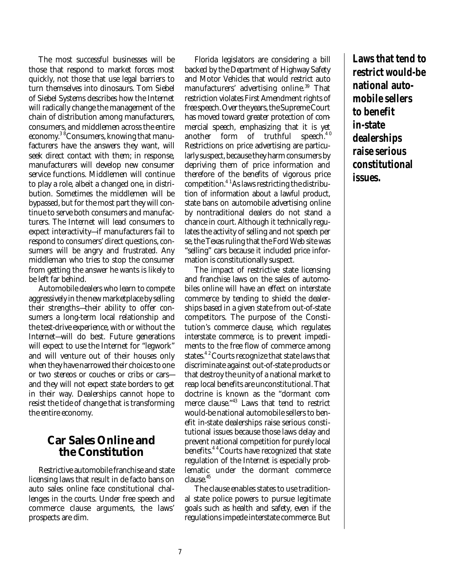The most successful businesses will be those that respond to market forces most quickly, not those that use legal barriers to turn themselves into dinosaurs. Tom Siebel of Siebel Systems describes how the Internet will radically change the management of the chain of distribution among manufacturers, consumers, and middlemen across the entire economy. 3 8Consumers, knowing that manufacturers have the answers they want, will seek direct contact with them; in response, manufacturers will develop new consumer service functions. Middlemen will continue to play a role, albeit a changed one, in distribution. Sometimes the middlemen will be bypassed, but for the most part they will continue to serve both consumers and manufacturers. The Internet will lead consumers to expect interactivity—if manufacturers fail to respond to consumers' direct questions, consumers will be angry and frustrated. Any middleman who tries to stop the consumer from getting the answer he wants is likely to be left far behind.

Automobile dealers who learn to compete aggressively in the new marketplace by selling their strengths—their ability to offer consumers a long-term local relationship and the test-drive experience, with or without the Internet—will do best. Future generations will expect to use the Internet for "legwork" and will venture out of their houses only when they have narrowed their choices to one or two stereos or couches or cribs or cars and they will not expect state borders to get in their way. Dealerships cannot hope to resist the tide of change that is transforming the entire economy.

## **Car Sales Online and the Constitution**

Restrictive automobile franchise and state licensing laws that result in de facto bans on auto sales online face constitutional challenges in the courts. Under free speech and commerce clause arguments, the laws' prospects are dim.

Florida legislators are considering a bill backed by the Department of Highway Safety and Motor Vehicles that would restrict auto manufacturers' advertising online. <sup>39</sup> That restriction violates First Amendment rights of free speech. Over the years, the Supreme Court has moved toward greater protection of commercial speech, emphasizing that it is yet another form of truthful speech.<sup>40</sup> Restrictions on price advertising are particularly suspect, because they harm consumers by depriving them of price information and therefore of the benefits of vigorous price competition. 4 1As laws restricting the distribution of information about a lawful product, state bans on automobile advertising online by nontraditional dealers do not stand a chance in court. Although it technically regulates the activity of selling and not speech per se, the Texas ruling that the Ford Web site was "selling" cars because it included price information is constitutionally suspect.

The impact of restrictive state licensing and franchise laws on the sales of automobiles online will have an effect on interstate commerce by tending to shield the dealerships based in a given state from out-of-state competitors. The purpose of the Constitution's commerce clause, which regulates interstate commerce, is to prevent impediments to the free flow of commerce among states.<sup>42</sup> Courts recognize that state laws that discriminate against out-of-state products or that destroy the unity of a national market to reap local benefits are unconstitutional. That doctrine is known as the "dormant commerce clause." <sup>43</sup> Laws that tend to restrict would-be national automobile sellers to benefit in-state dealerships raise serious constitutional issues because those laws delay and prevent national competition for purely local benefits.<sup>44</sup> Courts have recognized that state regulation of the Internet is especially problematic under the dormant commerce clause. 45

The clause enables states to use traditional state police powers to pursue legitimate goals such as health and safety, even if the regulations impede interstate commerce. But **Laws that tend to restrict would-be national automobile sellers to benefit in-state dealerships raise serious constitutional issues.**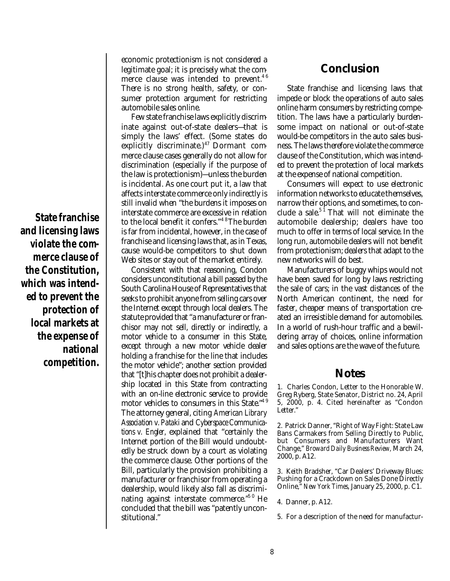**State franchise and licensing laws violate the commerce clause of the Constitution, which was intended to prevent the protection of local markets at the expense of national competition.**

economic protectionism is not considered a legitimate goal; it is precisely what the commerce clause was intended to prevent.<sup>46</sup> There is no strong health, safety, or consumer protection argument for restricting automobile sales online.

Few state franchise laws explicitly discriminate against out-of-state dealers—that is simply the laws' effect. (Some states do explicitly discriminate.)<sup>47</sup> Dormant commerce clause cases generally do not allow for discrimination (especially if the purpose of the law is protectionism)—unless the burden is incidental. As one court put it, a law that affects interstate commerce only indirectly is still invalid when "the burdens it imposes on interstate commerce are excessive in relation to the local benefit it confers."<sup>48</sup>The burden is far from incidental, however, in the case of franchise and licensing laws that, as in Texas, cause would-be competitors to shut down Web sites or stay out of the market entirely.

Consistent with that reasoning, Condon considers unconstitutional a bill passed by the South Carolina House of Representatives that seeks to prohibit anyone from selling cars over the Internet except through local dealers. The statute provided that "a manufacturer or franchisor may not sell, directly or indirectly, a motor vehicle to a consumer in this State, except through a new motor vehicle dealer holding a franchise for the line that includes the motor vehicle"; another section provided that "[t]his chapter does not prohibit a dealership located in this State from contracting with an on-line electronic service to provide motor vehicles to consumers in this State." 4 9 The attorney general, citing *American Library Association v. Pataki* and *Cyberspace Communications v. Engler,* explained that "certainly the Internet portion of the Bill would undoubtedly be struck down by a court as violating the commerce clause. Other portions of the Bill, particularly the provision prohibiting a manufacturer or franchisor from operating a dealership, would likely also fall as discriminating against interstate commerce."<sup>50</sup> He concluded that the bill was "patently unconstitutional."

### **Conclusion**

State franchise and licensing laws that impede or block the operations of auto sales online harm consumers by restricting competition. The laws have a particularly burdensome impact on national or out-of-state would-be competitors in the auto sales business. The laws therefore violate the commerce clause of the Constitution, which was intended to prevent the protection of local markets at the expense of national competition.

Consumers will expect to use electronic information networks to educate themselves, narrow their options, and sometimes, to conclude a sale.<sup>51</sup> That will not eliminate the automobile dealership; dealers have too much to offer in terms of local service. In the long run, automobile dealers will not benefit from protectionism; dealers that adapt to the new networks will do best.

Manufacturers of buggy whips would not have been saved for long by laws restricting the sale of cars; in the vast distances of the North American continent, the need for faster, cheaper means of transportation created an irresistible demand for automobiles. In a world of rush-hour traffic and a bewildering array of choices, online information and sales options are the wave of the future.

### **Notes**

1. Charles Condon, Letter to the Honorable W. Greg Ryberg, State Senator, District no. 24, April 5, 2000, p. 4. Cited hereinafter as "Condon Letter."

2. Patrick Danner, "Right of Way Fight: State Law Bans Carmakers from Selling Directly to Public, but Consumers and Manufacturers Want Change," *Broward Daily Business Review,* March 24, 2000, p. A12.

3. Keith Bradsher, "Car Dealers' Driveway Blues: Pushing for a Crackdown on Sales Done Directly Online," *New York Times,* January 25, 2000, p. C1.

4. Danner, p. A12.

<sup>5.</sup> For a description of the need for manufactur-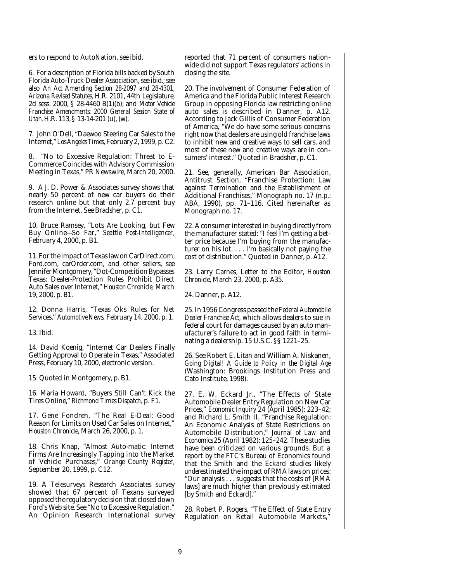ers to respond to AutoNation, see ibid.

6. For a description of Florida bills backed by South Florida Auto-Truck Dealer Association, see ibid.; see also *An Act Amending Section 28-2097 and 28-4301, Arizona Revised Statutes,* H.R. 2101, 44th Legislature, 2d sess. 2000, § 28-4460 B(1)(b); and *Motor Vehicle Franchise Amendments: 2000 General Session State of Utah,* H.R. 113, § 13-14-201 (u), (w).

7. John O'Dell, "Daewoo Steering Car Sales to the Internet," *Los Angeles Times,*February 2, 1999, p. C2.

8. "No to Excessive Regulation: Threat to E-Commerce Coincides with Advisory Commission Meeting in Texas," PR Newswire, March 20, 2000.

9. A J. D. Power & Associates survey shows that nearly 50 percent of new car buyers do their research online but that only 2.7 percent buy from the Internet. See Bradsher, p. C1.

10. Bruce Ramsey, "Lots Are Looking, but Few Buy Online—So Far," *Seattle Post-Intelligencer,* February 4, 2000, p. B1.

11. For the impact of Texas law on CarDirect.com, Ford.com, carOrder.com, and other sellers, see Jennifer Montgomery, "Dot-Competition Bypasses Texas: Dealer-Protection Rules Prohibit Direct Auto Sales over Internet," *Houston Chronicle,* March 19, 2000, p. B1.

12. Donna Harris, "Texas Oks Rules for Net Services," *Automotive News,* February 14, 2000, p. 1.

13. Ibid.

14. David Koenig, "Internet Car Dealers Finally Getting Approval to Operate in Texas," Associated Press, February 10, 2000, electronic version.

15. Quoted in Montgomery, p. B1.

16. Maria Howard, "Buyers Still Can't Kick the Tires Online," *Richmond Times Dispatch,* p. F1.

17. Gene Fondren, "The Real E-Deal: Good Reason for Limits on Used Car Sales on Internet," *Houston Chronicle,* March 26, 2000, p. 1.

18. Chris Knap, "Almost Auto-matic: Internet Firms Are Increasingly Tapping into the Market of Vehicle Purchases," *Orange County Register,* September 20, 1999, p. C12.

19. A Telesurveys Research Associates survey showed that 67 percent of Texans surveyed opposed the regulatory decision that closed down Ford's Web site. See "No to Excessive Regulation." An Opinion Research International survey reported that 71 percent of consumers nationwide did not support Texas regulators' actions in closing the site.

20. The involvement of Consumer Federation of America and the Florida Public Interest Research Group in opposing Florida law restricting online auto sales is described in Danner, p. A12. According to Jack Gillis of Consumer Federation of America, "We do have some serious concerns right now that dealers are using old franchise laws to inhibit new and creative ways to sell cars, and most of these new and creative ways are in consumers' interest." Quoted in Bradsher, p. C1.

21. See, generally, American Bar Association, Antitrust Section, "Franchise Protection: Law against Termination and the Establishment of Additional Franchises," Monograph no. 17 (n.p.: ABA, 1990), pp. 71-116. Cited hereinafter as Monograph no. 17.

22. A consumer interested in buying directly from the manufacturer stated: "I feel I'm getting a better price because I'm buying from the manufacturer on his lot. . . . I'm basically not paying the cost of distribution." Quoted in Danner, p. A12.

23. Larry Carnes, Letter to the Editor, *Houston Chronicle,* March 23, 2000, p. A35.

24. Danner, p. A12.

25. In 1956 Congress passed the *Federal Automobile Dealer Franchise Act,* which allows dealers to sue in federal court for damages caused by an auto manufacturer's failure to act in good faith in terminating a dealership. 15 U.S.C. §§ 1221–25.

26. See Robert E. Litan and William A. Niskanen, *Going Digital! A Guide to Policy in the Digital Age* (Washington: Brookings Institution Press and Cato Institute, 1998).

27. E. W. Eckard Jr., "The Effects of State Automobile Dealer Entry Regulation on New Car Prices," *Economic Inquiry* 24 (April 1985): 223–42; and Richard L. Smith II, "Franchise Regulation: An Economic Analysis of State Restrictions on Automobile Distribution," *Journal of Law and Economics* 25 (April 1982): 125–242. These studies have been criticized on various grounds. But a report by the FTC's Bureau of Economics found that the Smith and the Eckard studies likely *under*estimated the impact of RMA laws on prices: "Our analysis . . . suggests that the costs of [RMA laws] are much higher than previously estimated [by Smith and Eckard]."

28. Robert P. Rogers, "The Effect of State Entry Regulation on Retail Automobile Markets,"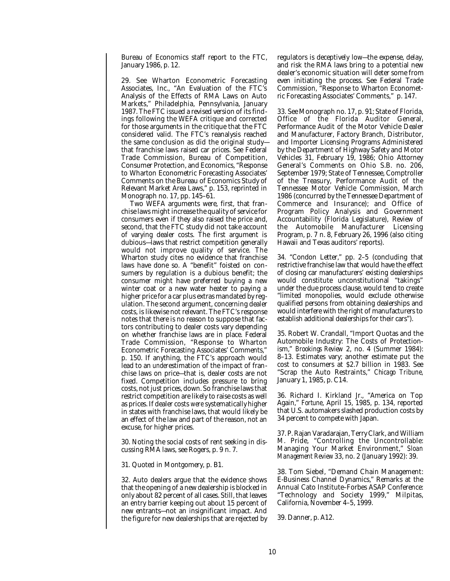Bureau of Economics staff report to the FTC, January 1986, p. 12.

29. See Wharton Econometric Forecasting Associates, Inc., "An Evaluation of the FTC's Analysis of the Effects of RMA Laws on Auto Markets," Philadelphia, Pennsylvania, January 1987. The FTC issued a revised version of its findings following the WEFA critique and corrected for those arguments in the critique that the FTC considered valid. The FTC's reanalysis reached the same conclusion as did the original study that franchise laws raised car prices. See Federal Trade Commission, Bureau of Competition, Consumer Protection, and Economics, "Response to Wharton Econometric Forecasting Associates' Comments on the Bureau of Economics Study of Relevant Market Area Laws," p. 153, reprinted in Monograph no. 17, pp. 145–61.

Two WEFA arguments were, first, that franchise laws might increase the quality of service for consumers even if they also raised the price and, second, that the FTC study did not take account of varying dealer costs. The first argument is dubious—laws that restrict competition generally would not improve quality of service. The Wharton study cites no evidence that franchise laws have done so. A "benefit" foisted on consumers by regulation is a dubious benefit; the consumer might have preferred buying a new winter coat or a new water heater to paying a higher price for a car plus extras mandated by regulation. The second argument, concerning dealer costs, is likewise not relevant. The FTC's response notes that there is no reason to suppose that factors contributing to dealer costs vary depending on whether franchise laws are in place. Federal Trade Commission, "Response to Wharton Econometric Forecasting Associates' Comments," p. 150. If anything, the FTC's approach would lead to an *under*estimation of the impact of franchise laws on price—that is, dealer costs are not fixed. Competition includes pressure to bring costs, not just prices, down. So franchise laws that restrict competition are likely to raise costs as well as prices. If dealer costs *were* systematically higher in states with franchise laws, that would likely be an effect of the law and part of the reason, not an excuse, for higher prices.

30. Noting the social costs of rent seeking in discussing RMA laws, see Rogers, p. 9 n. 7.

31. Quoted in Montgomery, p. B1.

32. Auto dealers argue that the evidence shows that the opening of a new dealership is blocked in only about 82 percent of all cases. Still, that leaves an entry barrier keeping out about 15 percent of new entrants—not an insignificant impact. And the figure for new dealerships that are rejected by regulators is deceptively low—the expense, delay, and risk the RMA laws bring to a potential new dealer's economic situation will deter some from even initiating the process. See Federal Trade Commission, "Response to Wharton Econometric Forecasting Associates' Comments," p. 147.

33. See Monograph no. 17, p. 91; State of Florida, Office of the Florida Auditor General, Performance Audit of the Motor Vehicle Dealer and Manufacturer, Factory Branch, Distributor, and Importer Licensing Programs Administered by the Department of Highway Safety and Motor Vehicles 31, February 19, 1986; Ohio Attorney General's Comments on Ohio S.B. no. 206, September 1979; State of Tennessee, Comptroller of the Treasury, Performance Audit of the Tennessee Motor Vehicle Commission, March 1986 (concurred by the Tennessee Department of Commerce and Insurance); and Office of Program Policy Analysis and Government Accountability (Florida Legislature), Review of the Automobile Manufacturer Licensing Program, p. 7 n. 8, February 26, 1996 (also citing Hawaii and Texas auditors' reports).

34. "Condon Letter," pp. 2–5 (concluding that restrictive franchise law that would have the effect of closing car manufacturers' existing dealerships would constitute unconstitutional "takings" under the due process clause, would tend to create "limited monopolies, would exclude otherwise qualified persons from obtaining dealerships and would interfere with the right of manufacturers to establish additional dealerships for their cars").

35. Robert W. Crandall, "Import Quotas and the Automobile Industry: The Costs of Protectionism," *Brookings Review* 2, no. 4 (Summer 1984): 8–13. Estimates vary; another estimate put the cost to consumers at \$2.7 billion in 1983. See "Scrap the Auto Restraints," *Chicago Tribune,* January 1, 1985, p. C14.

36. Richard I. Kirkland Jr., "America on Top Again," *Fortune*, April 15, 1985, p. 134, reported that U.S. automakers slashed production costs by 34 percent to compete with Japan.

37. P. Rajan Varadarajan, Terry Clark, and William M. Pride, "Controlling the Uncontrollable: Managing Your Market Environment," *Sloan Management Review*33, no. 2 (January 1992): 39.

38. Tom Siebel, "Demand Chain Management: E-Business Channel Dynamics," Remarks at the Annual Cato Institute–Forbes ASAP Conference: "Technology and Society 1999," Milpitas, California, November 4–5, 1999.

39. Danner, p. A12.